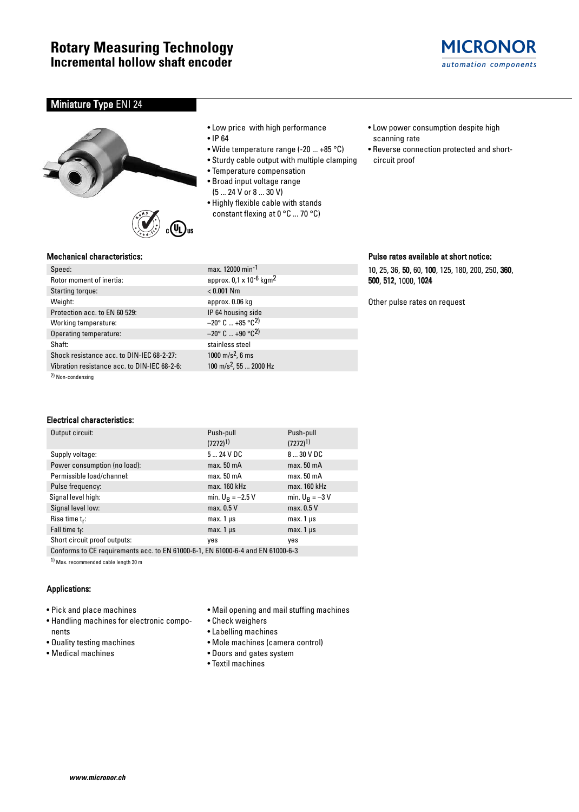

# **Miniature Type ENI 24**





- Low price with high performance
- IP 64
- Wide temperature range (-20 ... +85 °C)
- Sturdy cable output with multiple clamping
- Temperature compensation
- Broad input voltage range
- (5 ... 24 V or 8 ... 30 V)
- Highly flexible cable with stands constant flexing at 0 °C ... 70 °C)
- Low power consumption despite high scanning rate
- Reverse connection protected and shortcircuit proof

### Mechanical characteristics:

| Speed:                                       | max. 12000 min <sup>-1</sup>                    |
|----------------------------------------------|-------------------------------------------------|
| Rotor moment of inertia:                     | approx. 0,1 x 10 <sup>-6</sup> kgm <sup>2</sup> |
| Starting torque:                             | $< 0.001$ Nm                                    |
| Weight:                                      | approx. 0.06 kg                                 |
| Protection acc. to EN 60 529:                | IP 64 housing side                              |
| Working temperature:                         | $-20^{\circ}$ C  +85 $^{\circ}$ C <sup>2)</sup> |
| Operating temperature:                       | $-20^{\circ}$ C $+90^{\circ}$ C <sup>2</sup> )  |
| Shaft:                                       | stainless steel                                 |
| Shock resistance acc. to DIN-IEC 68-2-27:    | 1000 m/s <sup>2</sup> , 6 ms                    |
| Vibration resistance acc. to DIN-IEC 68-2-6: | 100 m/s <sup>2</sup> , 55  2000 Hz              |
| $\mathbf{a}$                                 |                                                 |

2) Non-condensing

## Electrical characteristics:

| Output circuit:                                                                 | Push-pull              | Push-pull              |  |  |  |  |  |
|---------------------------------------------------------------------------------|------------------------|------------------------|--|--|--|--|--|
|                                                                                 | $(7272)^{1}$           | $(7272)^{1}$           |  |  |  |  |  |
| Supply voltage:                                                                 | $524$ VDC              | 8  30 V DC             |  |  |  |  |  |
| Power consumption (no load):                                                    | max. 50 mA             | max. 50 <sub>m</sub> A |  |  |  |  |  |
| Permissible load/channel:                                                       | max. 50 <sub>m</sub> A | max. 50 mA             |  |  |  |  |  |
| Pulse frequency:                                                                | max. 160 kHz           | max. 160 kHz           |  |  |  |  |  |
| Signal level high:                                                              | min. $U_R = -2.5 V$    | min. $U_R = -3 V$      |  |  |  |  |  |
| Signal level low:                                                               | max. 0.5 V             | max. 0.5 V             |  |  |  |  |  |
| Rise time $t_r$ :                                                               | $max.1 \,\mu s$        | $max. 1 \mu s$         |  |  |  |  |  |
| Fall time $t_f$ :                                                               | max. $1 \mu s$         | max. $1 \mu s$         |  |  |  |  |  |
| Short circuit proof outputs:                                                    | yes                    | yes                    |  |  |  |  |  |
| Conforms to CE requirements acc. to EN 61000-6-1, EN 61000-6-4 and EN 61000-6-3 |                        |                        |  |  |  |  |  |

1) Max. recommended cable length 30 m

# Applications:

- Pick and place machines
- Handling machines for electronic components
- Quality testing machines
- Medical machines
- Mail opening and mail stuffing machines
- Check weighers
- Labelling machines
- Mole machines (camera control)
- Doors and gates system
- Textil machines

#### **www.micronor.ch**

# Pulse rates available at short notice:

10, 25, 36, 50, 60, 100, 125, 180, 200, 250, 360, 500, 512, 1000, 1024

Other pulse rates on request